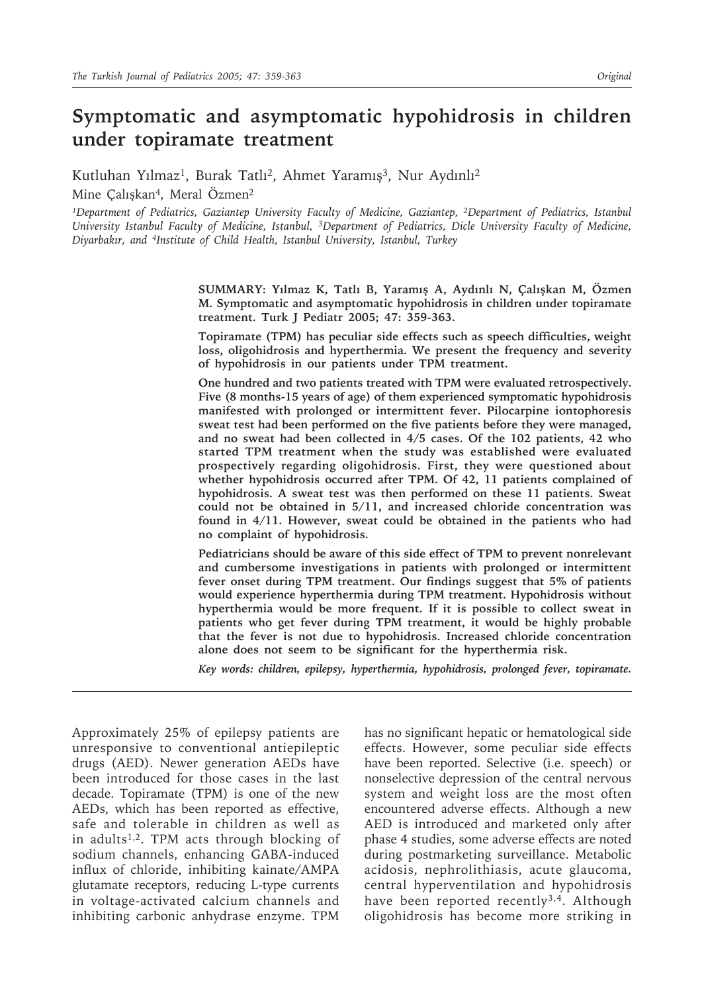# **Symptomatic and asymptomatic hypohidrosis in children under topiramate treatment**

Kutluhan Yılmaz<sup>1</sup>, Burak Tatlı<sup>2</sup>, Ahmet Yaramış<sup>3</sup>, Nur Aydınlı<sup>2</sup> Mine Calıskan<sup>4</sup>, Meral Özmen<sup>2</sup>

*1Department of Pediatrics, Gaziantep University Faculty of Medicine, Gaziantep, 2Department of Pediatrics, Istanbul University Istanbul Faculty of Medicine, Istanbul, 3Department of Pediatrics, Dicle University Faculty of Medicine, Diyarbakır, and 4Institute of Child Health, Istanbul University, Istanbul, Turkey*

> **SUMMARY: Yılmaz K, Tatlı B, Yaramış A, Aydınlı N, Çalışkan M, Özmen M. Symptomatic and asymptomatic hypohidrosis in children under topiramate treatment. Turk J Pediatr 2005; 47: 359-363.**

> **Topiramate (TPM) has peculiar side effects such as speech difficulties, weight loss, oligohidrosis and hyperthermia. We present the frequency and severity of hypohidrosis in our patients under TPM treatment.**

> **One hundred and two patients treated with TPM were evaluated retrospectively. Five (8 months-15 years of age) of them experienced symptomatic hypohidrosis manifested with prolonged or intermittent fever. Pilocarpine iontophoresis sweat test had been performed on the five patients before they were managed, and no sweat had been collected in 4/5 cases. Of the 102 patients, 42 who started TPM treatment when the study was established were evaluated prospectively regarding oligohidrosis. First, they were questioned about whether hypohidrosis occurred after TPM. Of 42, 11 patients complained of hypohidrosis. A sweat test was then performed on these 11 patients. Sweat could not be obtained in 5/11, and increased chloride concentration was found in 4/11. However, sweat could be obtained in the patients who had no complaint of hypohidrosis.**

> **Pediatricians should be aware of this side effect of TPM to prevent nonrelevant and cumbersome investigations in patients with prolonged or intermittent fever onset during TPM treatment. Our findings suggest that 5% of patients would experience hyperthermia during TPM treatment. Hypohidrosis without hyperthermia would be more frequent. If it is possible to collect sweat in patients who get fever during TPM treatment, it would be highly probable that the fever is not due to hypohidrosis. Increased chloride concentration alone does not seem to be significant for the hyperthermia risk.**

> *Key words: children, epilepsy, hyperthermia, hypohidrosis, prolonged fever, topiramate.*

Approximately 25% of epilepsy patients are unresponsive to conventional antiepileptic drugs (AED). Newer generation AEDs have been introduced for those cases in the last decade. Topiramate (TPM) is one of the new AEDs, which has been reported as effective, safe and tolerable in children as well as in adults<sup>1,2</sup>. TPM acts through blocking of sodium channels, enhancing GABA-induced influx of chloride, inhibiting kainate/AMPA glutamate receptors, reducing L-type currents in voltage-activated calcium channels and inhibiting carbonic anhydrase enzyme. TPM

has no significant hepatic or hematological side effects. However, some peculiar side effects have been reported. Selective (i.e. speech) or nonselective depression of the central nervous system and weight loss are the most often encountered adverse effects. Although a new AED is introduced and marketed only after phase 4 studies, some adverse effects are noted during postmarketing surveillance. Metabolic acidosis, nephrolithiasis, acute glaucoma, central hyperventilation and hypohidrosis have been reported recently<sup>3,4</sup>. Although oligohidrosis has become more striking in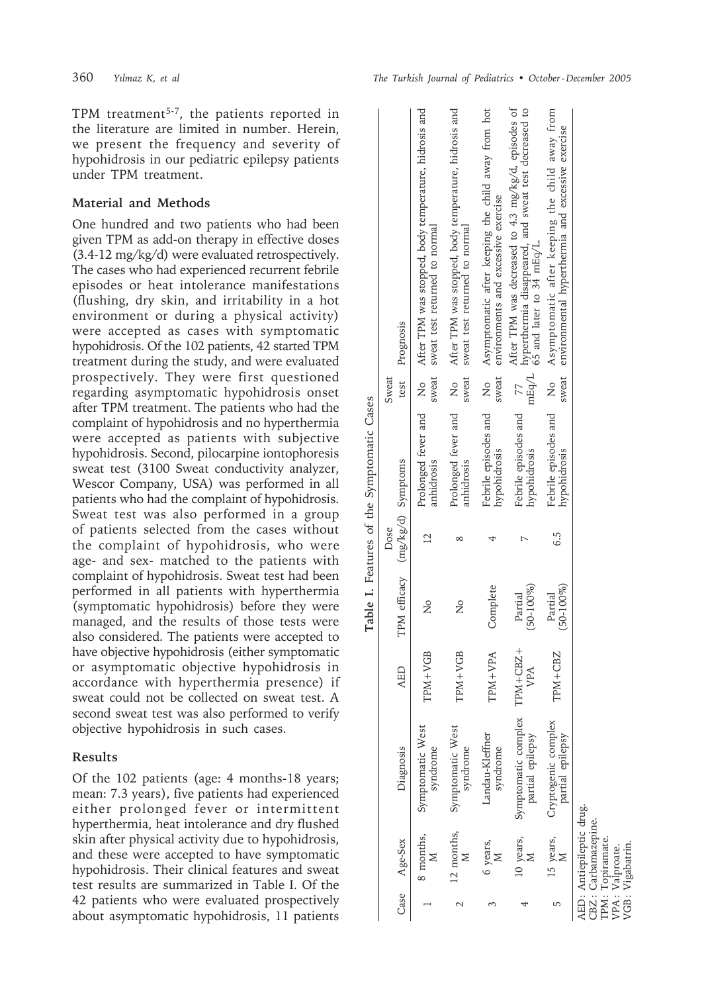TPM treatment<sup>5-7</sup>, the patients reported in the literature are limited in number. Herein, we present the frequency and severity of hypohidrosis in our pediatric epilepsy patients under TPM treatment.

### **Material and Methods**

One hundred and two patients who had been given TPM as add-on therapy in effective doses (3.4-12 mg/kg/d) were evaluated retrospectively. The cases who had experienced recurrent febrile episodes or heat intolerance manifestations (flushing, dry skin, and irritability in a hot environment or during a physical activity) were accepted as cases with symptomatic hypohidrosis. Of the 102 patients, 42 started TPM treatment during the study, and were evaluated prospectively. They were first questioned regarding asymptomatic hypohidrosis onset after TPM treatment. The patients who had the complaint of hypohidrosis and no hyperthermia were accepted as patients with subjective hypohidrosis. Second, pilocarpine iontophoresis sweat test (3100 Sweat conductivity analyzer, Wescor Company, USA) was performed in all patients who had the complaint of hypohidrosis. Sweat test was also performed in a group of patients selected from the cases without the complaint of hypohidrosis, who were age- and sex- matched to the patients with complaint of hypohidrosis. Sweat test had been performed in all patients with hyperthermia (symptomatic hypohidrosis) before they were managed, and the results of those tests were also considered. The patients were accepted to have objective hypohidrosis (either symptomatic or asymptomatic objective hypohidrosis in accordance with hyperthermia presence) if sweat could not be collected on sweat test. A second sweat test was also performed to verify objective hypohidrosis in such cases.

#### **Results**

Of the 102 patients (age: 4 months-18 years; mean: 7.3 years), five patients had experienced either prolonged fever or intermittent hyperthermia, heat intolerance and dry flushed skin after physical activity due to hypohidrosis, and these were accepted to have symptomatic hypohidrosis. Their clinical features and sweat test results are summarized in Table I. Of the 42 patients who were evaluated prospectively about asymptomatic hypohidrosis, 11 patients

|                                                                            |                                         |                 |                                 |                | Table I. Features of the Symptomatic Cases |                        |                                                                                                                                           |
|----------------------------------------------------------------------------|-----------------------------------------|-----------------|---------------------------------|----------------|--------------------------------------------|------------------------|-------------------------------------------------------------------------------------------------------------------------------------------|
|                                                                            |                                         |                 |                                 | Dose           |                                            | Sweat                  |                                                                                                                                           |
| Case Age-Sex                                                               | Diagnosis                               | <b>AED</b>      | TPM efficacy (mg/kg/d) Symptoms |                |                                            |                        | test Prognosis                                                                                                                            |
| 8 months,                                                                  | Symptomatic West<br>syndrome            | TPM+VGB         | ž                               | $\overline{2}$ | Prolonged fever and<br>anhidrosis          | λo<br>Σ<br>sweat       | After TPM was stopped, body temperature, hidrosis and<br>sweat test returned to normal                                                    |
| 12 months,                                                                 | Symptomatic West<br>syndrome            | TPM+VGB         | ż                               |                | Prolonged fever and<br>anhidrosis          | Σo<br>sweat            | After TPM was stopped, body temperature, hidrosis and<br>sweat test returned to normal                                                    |
| 6 years,                                                                   | Landau-Kleffner<br>syndrome             | TPM+VPA         | Complete                        |                | Febrile episodes and<br>hypohidrosis       | λo<br>Σ<br>sweat       | Asymptomatic after keeping the child away from hot<br>environments and excessive exercise                                                 |
| 10 years,                                                                  | Symptomatic complex<br>partial epilepsy | TPM+CBZ+<br>VPA | $(50 - 100\%)$<br>Partial       |                | Febrile episodes and<br>hypohidrosis       | mEq/L<br>77            | After TPM was decreased to 4.3 mg/kg/d, episodes of<br>hyperthermia disappeared, and sweat test decreased to<br>65 and later to 34 mEq/L. |
| 15 years,                                                                  | Cryptogenic complex<br>partial epilepsy | TPM+CBZ         | $(50 - 100\%)$<br>Partial       | 6.5            | Febrile episodes and<br>hypohidrosis       | $\frac{1}{2}$<br>sweat | Asymptomatic after keeping the child away from<br>environmental hyperthermia and excessive exercise                                       |
| AED: Antiepileptic drug.<br>CBZ: Carbamazepine.<br><b>TPM:</b> Topiramate. |                                         |                 |                                 |                |                                            |                        |                                                                                                                                           |

Table I. Features of the Symptomatic Cases

VPA : Valproate. VGB : Vigabatrin.

VPA : Valproate.<br>VGB : Vigabatrin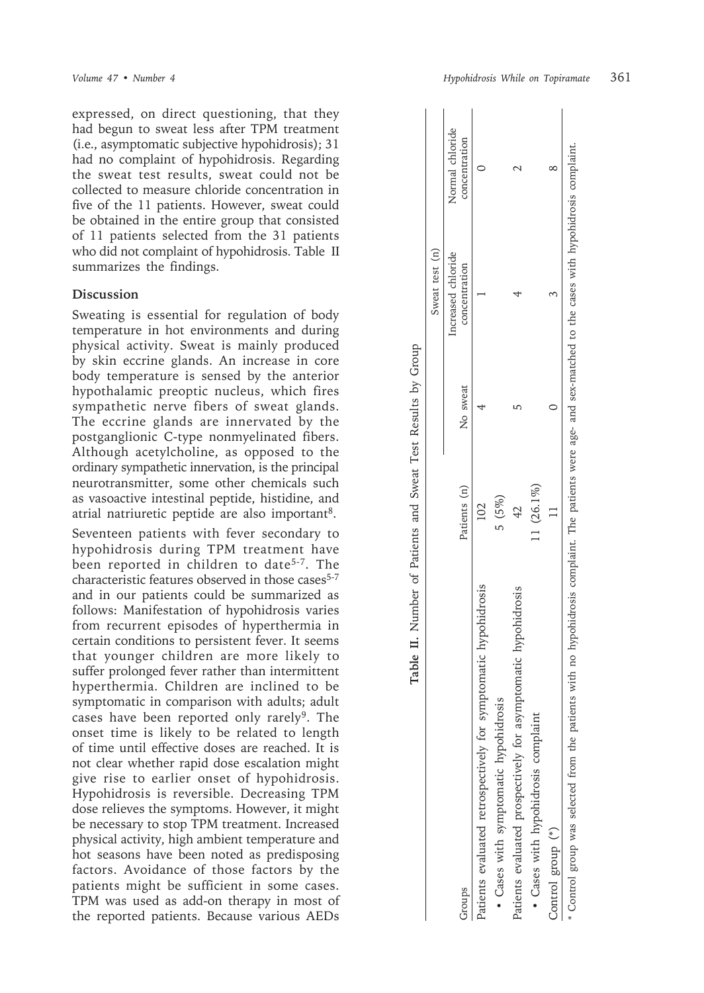expressed, on direct questioning, that they had begun to sweat less after TPM treatment (i.e., asymptomatic subjective hypohidrosis); 31 had no complaint of hypohidrosis. Regarding the sweat test results, sweat could not be collected to measure chloride concentration in five of the 11 patients. However, sweat could be obtained in the entire group that consisted of 11 patients selected from the 31 patients who did not complaint of hypohidrosis. Table II summarizes the findings.

## **Discussion**

Sweating is essential for regulation of body temperature in hot environments and during physical activity. Sweat is mainly produced by skin eccrine glands. An increase in core body temperature is sensed by the anterior hypothalamic preoptic nucleus, which fires sympathetic nerve fibers of sweat glands. The eccrine glands are innervated by the postganglionic C-type nonmyelinated fibers. Although acetylcholine, as opposed to the ordinary sympathetic innervation, is the principal neurotransmitter, some other chemicals such as vasoactive intestinal peptide, histidine, and atrial natriuretic peptide are also important8.

Seventeen patients with fever secondary to hypohidrosis during TPM treatment have been reported in children to date<sup>5-7</sup>. The characteristic features observed in those cases<sup>5-7</sup> and in our patients could be summarized as follows: Manifestation of hypohidrosis varies from recurrent episodes of hyperthermia in certain conditions to persistent fever. It seems that younger children are more likely to suffer prolonged fever rather than intermittent hyperthermia. Children are inclined to be symptomatic in comparison with adults; adult cases have been reported only rarely<sup>9</sup>. The onset time is likely to be related to length of time until effective doses are reached. It is not clear whether rapid dose escalation might give rise to earlier onset of hypohidrosis. Hypohidrosis is reversible. Decreasing TPM dose relieves the symptoms. However, it might be necessary to stop TPM treatment. Increased physical activity, high ambient temperature and hot seasons have been noted as predisposing factors. Avoidance of those factors by the patients might be sufficient in some cases. TPM was used as add-on therapy in most of the reported patients. Because various AEDs

|                                                                 |              |          | Sweat test (n)                      |                                  |
|-----------------------------------------------------------------|--------------|----------|-------------------------------------|----------------------------------|
| Squore                                                          | Patients (n) | No sweat | Increased chloride<br>concentration | Normal chloride<br>concentration |
| Patients evaluated retrospectively for symptomatic hypohidrosis |              |          |                                     |                                  |
| · Cases with symptomatic hypohidrosis                           | 5(5%)        |          |                                     |                                  |
| Patients evaluated prospectively for asymptomatic hypohidrosis  |              |          |                                     |                                  |
| · Cases with hypohidrosis complaint                             | 11 (26.1%)   |          |                                     |                                  |
| Control group (*)                                               |              |          |                                     |                                  |

| 5<br>5<br>5<br>5<br>$\overline{\mathcal{L}}$ |
|----------------------------------------------|
| $\frac{1}{2}$<br>J                           |
|                                              |
| $\frac{4}{3}$<br>j<br>í                      |
| )<br>)<br>)<br>Ç                             |
| てらく<br>į                                     |
| I<br>ı<br>$10.44$ 0.00<br>ı<br>ļ<br>I        |
| $\ddot{\tilde{c}}$                           |
| is an exer                                   |
| )<br>)<br>i                                  |
| ì<br>I                                       |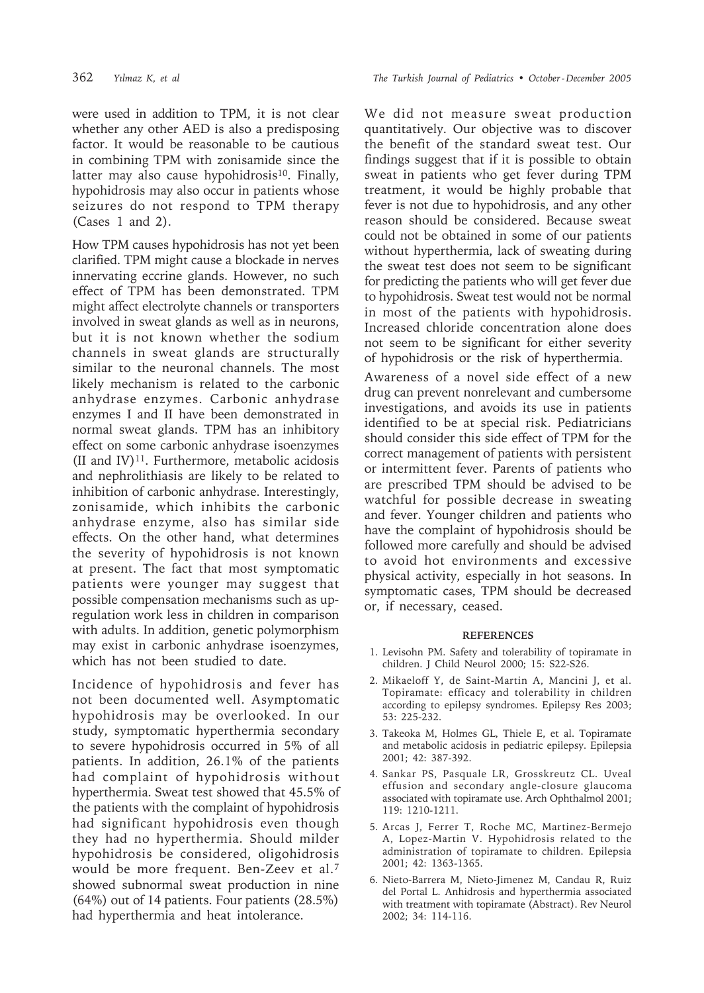were used in addition to TPM, it is not clear whether any other AED is also a predisposing factor. It would be reasonable to be cautious in combining TPM with zonisamide since the latter may also cause hypohidrosis<sup>10</sup>. Finally, hypohidrosis may also occur in patients whose seizures do not respond to TPM therapy (Cases 1 and 2).

How TPM causes hypohidrosis has not yet been clarified. TPM might cause a blockade in nerves innervating eccrine glands. However, no such effect of TPM has been demonstrated. TPM might affect electrolyte channels or transporters involved in sweat glands as well as in neurons, but it is not known whether the sodium channels in sweat glands are structurally similar to the neuronal channels. The most likely mechanism is related to the carbonic anhydrase enzymes. Carbonic anhydrase enzymes I and II have been demonstrated in normal sweat glands. TPM has an inhibitory effect on some carbonic anhydrase isoenzymes (II and IV)<sup>11</sup>. Furthermore, metabolic acidosis and nephrolithiasis are likely to be related to inhibition of carbonic anhydrase. Interestingly, zonisamide, which inhibits the carbonic anhydrase enzyme, also has similar side effects. On the other hand, what determines the severity of hypohidrosis is not known at present. The fact that most symptomatic patients were younger may suggest that possible compensation mechanisms such as upregulation work less in children in comparison with adults. In addition, genetic polymorphism may exist in carbonic anhydrase isoenzymes, which has not been studied to date.

Incidence of hypohidrosis and fever has not been documented well. Asymptomatic hypohidrosis may be overlooked. In our study, symptomatic hyperthermia secondary to severe hypohidrosis occurred in 5% of all patients. In addition, 26.1% of the patients had complaint of hypohidrosis without hyperthermia. Sweat test showed that 45.5% of the patients with the complaint of hypohidrosis had significant hypohidrosis even though they had no hyperthermia. Should milder hypohidrosis be considered, oligohidrosis would be more frequent. Ben-Zeev et al.7 showed subnormal sweat production in nine (64%) out of 14 patients. Four patients (28.5%) had hyperthermia and heat intolerance.

We did not measure sweat production quantitatively. Our objective was to discover the benefit of the standard sweat test. Our findings suggest that if it is possible to obtain sweat in patients who get fever during TPM treatment, it would be highly probable that fever is not due to hypohidrosis, and any other reason should be considered. Because sweat could not be obtained in some of our patients without hyperthermia, lack of sweating during the sweat test does not seem to be significant for predicting the patients who will get fever due to hypohidrosis. Sweat test would not be normal in most of the patients with hypohidrosis. Increased chloride concentration alone does not seem to be significant for either severity of hypohidrosis or the risk of hyperthermia.

Awareness of a novel side effect of a new drug can prevent nonrelevant and cumbersome investigations, and avoids its use in patients identified to be at special risk. Pediatricians should consider this side effect of TPM for the correct management of patients with persistent or intermittent fever. Parents of patients who are prescribed TPM should be advised to be watchful for possible decrease in sweating and fever. Younger children and patients who have the complaint of hypohidrosis should be followed more carefully and should be advised to avoid hot environments and excessive physical activity, especially in hot seasons. In symptomatic cases, TPM should be decreased or, if necessary, ceased.

#### **REFERENCES**

- 1. Levisohn PM. Safety and tolerability of topiramate in children. J Child Neurol 2000; 15: S22-S26.
- 2. Mikaeloff Y, de Saint-Martin A, Mancini J, et al. Topiramate: efficacy and tolerability in children according to epilepsy syndromes. Epilepsy Res 2003; 53: 225-232.
- 3. Takeoka M, Holmes GL, Thiele E, et al. Topiramate and metabolic acidosis in pediatric epilepsy. Epilepsia 2001; 42: 387-392.
- 4. Sankar PS, Pasquale LR, Grosskreutz CL. Uveal effusion and secondary angle-closure glaucoma associated with topiramate use. Arch Ophthalmol 2001; 119: 1210-1211.
- 5. Arcas J, Ferrer T, Roche MC, Martinez-Bermejo A, Lopez-Martin V. Hypohidrosis related to the administration of topiramate to children. Epilepsia 2001; 42: 1363-1365.
- 6. Nieto-Barrera M, Nieto-Jimenez M, Candau R, Ruiz del Portal L. Anhidrosis and hyperthermia associated with treatment with topiramate (Abstract). Rev Neurol 2002; 34: 114-116.